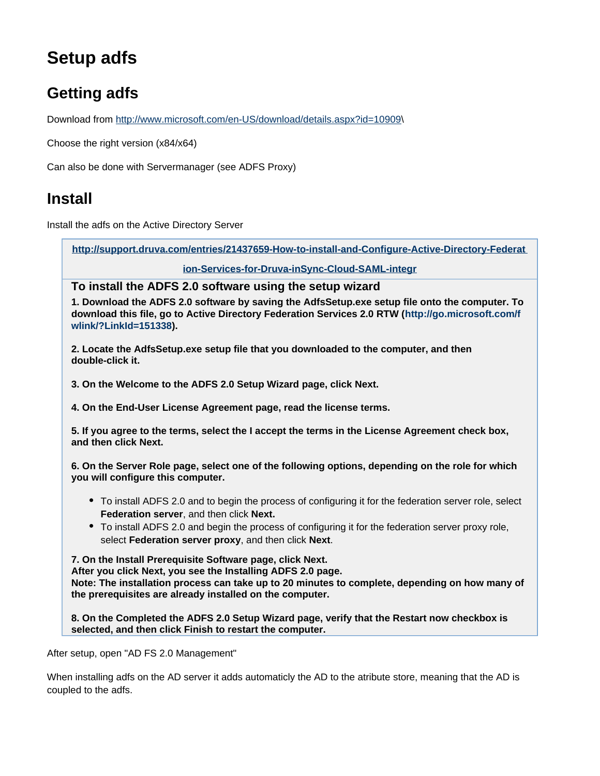# **Setup adfs**

## **Getting adfs**

Download from [http://www.microsoft.com/en-US/download/details.aspx?id=10909\](http://www.microsoft.com/en-US/download/details.aspx?id=10909)

Choose the right version (x84/x64)

Can also be done with Servermanager (see ADFS Proxy)

### **Install**

Install the adfs on the Active Directory Server

**[http://support.druva.com/entries/21437659-How-to-install-and-Configure-Active-Directory-Federat](http://support.druva.com/entries/21437659-How-to-install-and-Configure-Active-Directory-Federation-Services-for-Druva-inSync-Cloud-SAML-integr)**

**[ion-Services-for-Druva-inSync-Cloud-SAML-integr](http://support.druva.com/entries/21437659-How-to-install-and-Configure-Active-Directory-Federation-Services-for-Druva-inSync-Cloud-SAML-integr)**

**To install the ADFS 2.0 software using the setup wizard**

**1. Download the ADFS 2.0 software by saving the AdfsSetup.exe setup file onto the computer. To download this file, go to Active Directory Federation Services 2.0 RTW ([http://go.microsoft.com/f](http://go.microsoft.com/fwlink/?LinkId=151338) [wlink/?LinkId=151338](http://go.microsoft.com/fwlink/?LinkId=151338)).**

**2. Locate the AdfsSetup.exe setup file that you downloaded to the computer, and then double-click it.**

**3. On the Welcome to the ADFS 2.0 Setup Wizard page, click Next.**

**4. On the End-User License Agreement page, read the license terms.**

**5. If you agree to the terms, select the I accept the terms in the License Agreement check box, and then click Next.**

**6. On the Server Role page, select one of the following options, depending on the role for which you will configure this computer.** 

- To install ADFS 2.0 and to begin the process of configuring it for the federation server role, select **Federation server**, and then click **Next.**
- To install ADFS 2.0 and begin the process of configuring it for the federation server proxy role, select **Federation server proxy**, and then click **Next**.

**7. On the Install Prerequisite Software page, click Next.**

**After you click Next, you see the Installing ADFS 2.0 page.**

**Note: The installation process can take up to 20 minutes to complete, depending on how many of the prerequisites are already installed on the computer.**

**8. On the Completed the ADFS 2.0 Setup Wizard page, verify that the Restart now checkbox is selected, and then click Finish to restart the computer.**

After setup, open "AD FS 2.0 Management"

When installing adfs on the AD server it adds automaticly the AD to the atribute store, meaning that the AD is coupled to the adfs.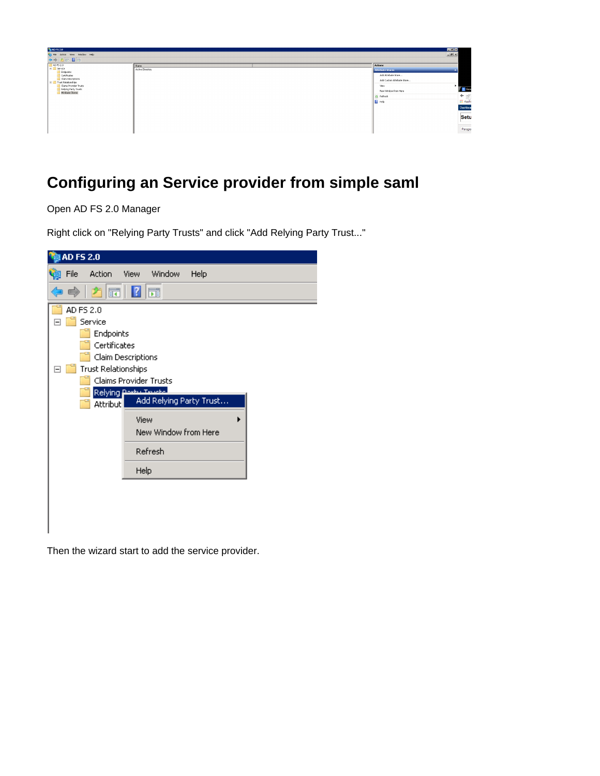

## **Configuring an Service provider from simple saml**

Open AD FS 2.0 Manager

Right click on "Relying Party Trusts" and click "Add Relying Party Trust..."



Then the wizard start to add the service provider.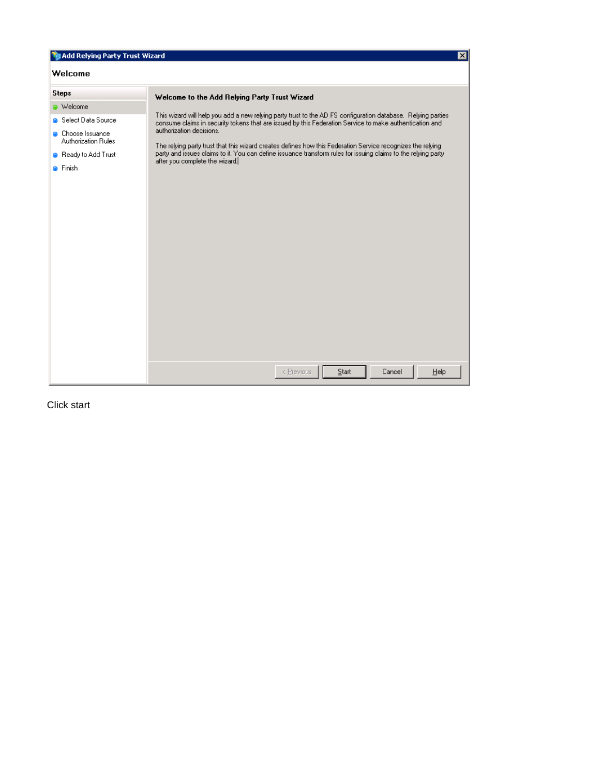| Add Relying Party Trust Wizard<br>⊠                                                                                                                |                                                                                                                                                                                                                                                                                                                                                                                                                                                                                                                                                                         |  |  |  |
|----------------------------------------------------------------------------------------------------------------------------------------------------|-------------------------------------------------------------------------------------------------------------------------------------------------------------------------------------------------------------------------------------------------------------------------------------------------------------------------------------------------------------------------------------------------------------------------------------------------------------------------------------------------------------------------------------------------------------------------|--|--|--|
| Welcome                                                                                                                                            |                                                                                                                                                                                                                                                                                                                                                                                                                                                                                                                                                                         |  |  |  |
| <b>Steps</b><br><b>a</b> Welcome<br>Select Data Source<br><b>O</b> Choose Issuance<br>Authorization Rules<br>Ready to Add Trust<br><b>O</b> Finish | Welcome to the Add Relying Party Trust Wizard<br>This wizard will help you add a new relying party trust to the AD FS configuration database. Relying parties<br>consume claims in security tokens that are issued by this Federation Service to make authentication and<br>authorization decisions.<br>The relying party trust that this wizard creates defines how this Federation Service recognizes the relying<br>party and issues claims to it. You can define issuance transform rules for issuing claims to the relying party<br>after you complete the wizard. |  |  |  |
|                                                                                                                                                    | < Previous<br>Start<br>Cancel<br>$He$ lp                                                                                                                                                                                                                                                                                                                                                                                                                                                                                                                                |  |  |  |

Click start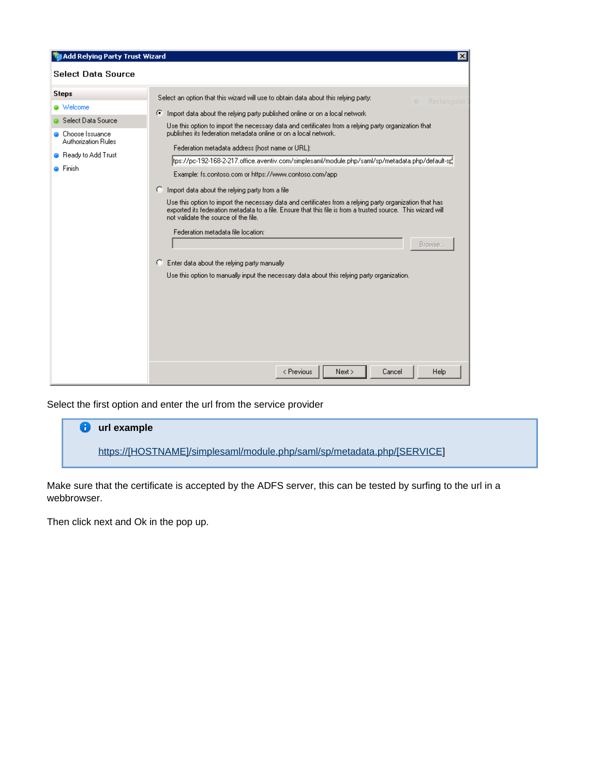| Add Relying Party Trust Wizard                                                                                                     | ×                                                                                                                                                                                                                                                                                                                                                                                                                                                                                                                                                                                                                                                                                                                                                                                                                                                                                                                                                                                                                                                                                                      |
|------------------------------------------------------------------------------------------------------------------------------------|--------------------------------------------------------------------------------------------------------------------------------------------------------------------------------------------------------------------------------------------------------------------------------------------------------------------------------------------------------------------------------------------------------------------------------------------------------------------------------------------------------------------------------------------------------------------------------------------------------------------------------------------------------------------------------------------------------------------------------------------------------------------------------------------------------------------------------------------------------------------------------------------------------------------------------------------------------------------------------------------------------------------------------------------------------------------------------------------------------|
| <b>Select Data Source</b>                                                                                                          |                                                                                                                                                                                                                                                                                                                                                                                                                                                                                                                                                                                                                                                                                                                                                                                                                                                                                                                                                                                                                                                                                                        |
| <b>Steps</b><br>@ Welcome<br>Select Data Source<br>Choose Issuance<br><b>Authorization Rules</b><br>Ready to Add Trust<br>∩ Finish | Select an option that this wizard will use to obtain data about this relying party:<br>Rectangular<br>⊙ Import data about the relying party published online or on a local network<br>Use this option to import the necessary data and certificates from a relying party organization that<br>publishes its federation metadata online or on a local network.<br>Federation metadata address (host name or URL):<br>[tps://pc-192-168-2-217.office.aventiv.com/simplesaml/module.php/saml/sp/metadata.php/default-sp<br>Example: fs.contoso.com or https://www.contoso.com/app<br>C Import data about the relying party from a file<br>Use this option to import the necessary data and certificates from a relying party organization that has<br>exported its federation metadata to a file. Ensure that this file is from a trusted source. This wizard will<br>not validate the source of the file.<br>Federation metadata file location:<br>Browse.<br>Enter data about the relying party manually<br>Use this option to manually input the necessary data about this relying party organization. |
|                                                                                                                                    | Next<br>Cancel<br>Help<br>< Previous                                                                                                                                                                                                                                                                                                                                                                                                                                                                                                                                                                                                                                                                                                                                                                                                                                                                                                                                                                                                                                                                   |

Select the first option and enter the url from the service provider

| url example                                                             |  |
|-------------------------------------------------------------------------|--|
| https://[HOSTNAME]/simplesaml/module.php/saml/sp/metadata.php/[SERVICE] |  |

Make sure that the certificate is accepted by the ADFS server, this can be tested by surfing to the url in a webbrowser.

Then click next and Ok in the pop up.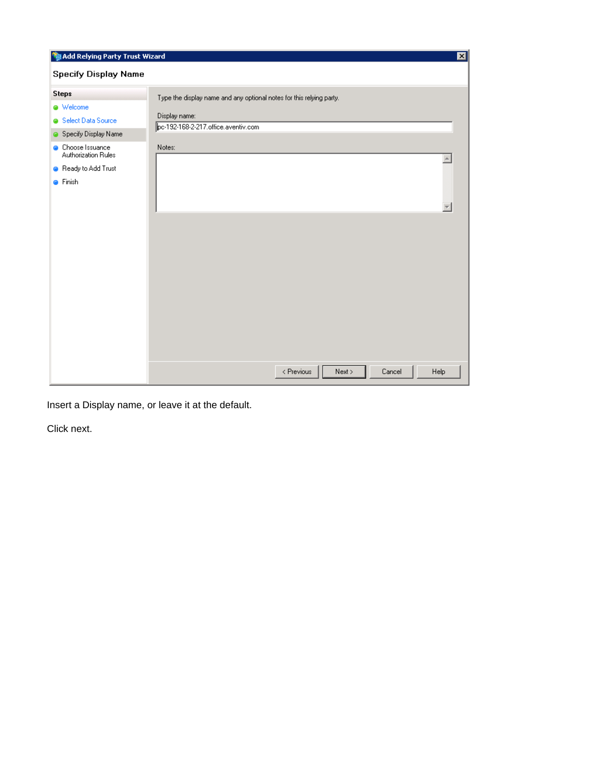| Add Relying Party Trust Wizard<br>図             |                                                                      |  |  |  |
|-------------------------------------------------|----------------------------------------------------------------------|--|--|--|
| <b>Specify Display Name</b>                     |                                                                      |  |  |  |
| <b>Steps</b>                                    | Type the display name and any optional notes for this relying party. |  |  |  |
| · Welcome                                       |                                                                      |  |  |  |
| Select Data Source                              | Display name:<br>pc-192-168-2-217.office.aventiv.com                 |  |  |  |
| Specify Display Name                            |                                                                      |  |  |  |
| <b>O</b> Choose Issuance<br>Authorization Rules | Notes:                                                               |  |  |  |
| Ready to Add Trust                              |                                                                      |  |  |  |
| <b>O</b> Finish                                 |                                                                      |  |  |  |
|                                                 | < Previous<br>Next<br>Cancel<br>Help                                 |  |  |  |

Insert a Display name, or leave it at the default.

Click next.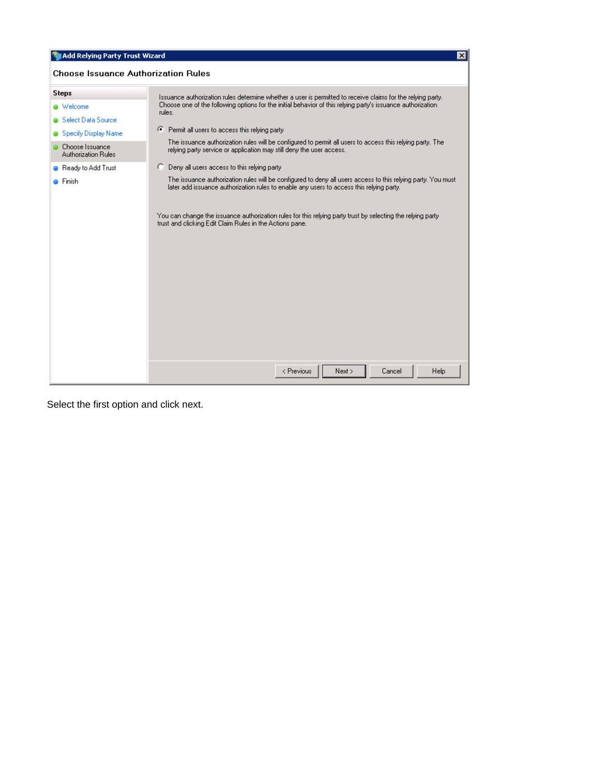| Add Relying Party Trust Wizard<br>$\vert x \vert$                                                                                                                                                                                                                                                                                                                                                                                                                                                                                                                                                                                                                                                                                                                                                                                                                                                                                  |                                                                                                                                                                                                                   |  |  |  |
|------------------------------------------------------------------------------------------------------------------------------------------------------------------------------------------------------------------------------------------------------------------------------------------------------------------------------------------------------------------------------------------------------------------------------------------------------------------------------------------------------------------------------------------------------------------------------------------------------------------------------------------------------------------------------------------------------------------------------------------------------------------------------------------------------------------------------------------------------------------------------------------------------------------------------------|-------------------------------------------------------------------------------------------------------------------------------------------------------------------------------------------------------------------|--|--|--|
| <b>Choose Issuance Authorization Rules</b>                                                                                                                                                                                                                                                                                                                                                                                                                                                                                                                                                                                                                                                                                                                                                                                                                                                                                         |                                                                                                                                                                                                                   |  |  |  |
| <b>Steps</b><br>Issuance authorization rules determine whether a user is permitted to receive claims for the relying party.<br>Choose one of the following options for the initial behavior of this relying party's issuance authorization<br><b>a</b> Welcome<br>rules.<br>Select Data Source<br>Permit all users to access this relying party<br>Œ.<br>Specify Display Name<br>The issuance authorization rules will be configured to permit all users to access this relying party. The<br>Choose Issuance<br>relying party service or application may still deny the user access.<br><b>Authorization Rules</b><br>C Deny all users access to this relying party<br><b>B</b> Ready to Add Trust<br>The issuance authorization rules will be configured to deny all users access to this relying party. You must<br><b>● Finish</b><br>later add issuance authorization rules to enable any users to access this relying party. |                                                                                                                                                                                                                   |  |  |  |
|                                                                                                                                                                                                                                                                                                                                                                                                                                                                                                                                                                                                                                                                                                                                                                                                                                                                                                                                    | You can change the issuance authorization rules for this relying party trust by selecting the relying party<br>trust and clicking Edit Claim Rules in the Actions pane.<br>Next ><br>< Previous<br>Cancel<br>Help |  |  |  |

Select the first option and click next.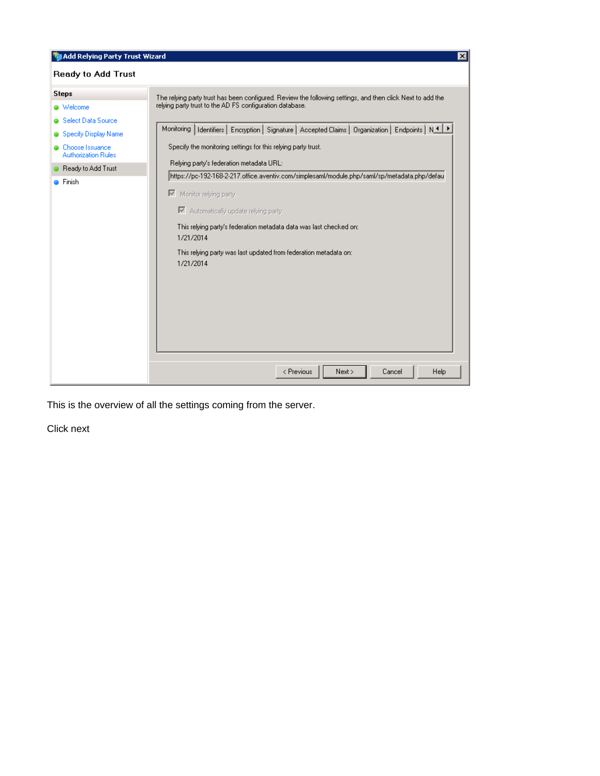| Add Relying Party Trust Wizard<br>$\vert x \vert$                                                                                                                                            |                                                                                                                                                                                                                                                                                                                                                                                                                                                                                                                                                                                                                                                                                                                                      |  |  |  |
|----------------------------------------------------------------------------------------------------------------------------------------------------------------------------------------------|--------------------------------------------------------------------------------------------------------------------------------------------------------------------------------------------------------------------------------------------------------------------------------------------------------------------------------------------------------------------------------------------------------------------------------------------------------------------------------------------------------------------------------------------------------------------------------------------------------------------------------------------------------------------------------------------------------------------------------------|--|--|--|
| <b>Ready to Add Trust</b>                                                                                                                                                                    |                                                                                                                                                                                                                                                                                                                                                                                                                                                                                                                                                                                                                                                                                                                                      |  |  |  |
| <b>Steps</b><br>@ Welcome<br><b>a</b> Select Data Source<br>Specify Display Name<br><b>O</b> Choose Issuance<br><b>Authorization Rules</b><br><b>B</b> Ready to Add Trust<br><b>O</b> Finish | The relying party trust has been configured. Review the following settings, and then click Next to add the<br>relying party trust to the AD FS configuration database.<br>Monitoring   Identifiers   Encryption   Signature   Accepted Claims   Organization   Endpoints   N 1   F<br>Specify the monitoring settings for this relying party trust.<br>Relying party's federation metadata URL:<br>https://pc-192-168-2-217.office.aventiv.com/simplesaml/module.php/saml/sp/metadata.php/defau<br>Monitor relying party<br>■ Automatically update relying party<br>This relying party's federation metadata data was last checked on:<br>1/21/2014<br>This relying party was last updated from federation metadata on:<br>1/21/2014 |  |  |  |
|                                                                                                                                                                                              | Next ><br>< Previous<br>Cancel<br>Help                                                                                                                                                                                                                                                                                                                                                                                                                                                                                                                                                                                                                                                                                               |  |  |  |

This is the overview of all the settings coming from the server.

Click next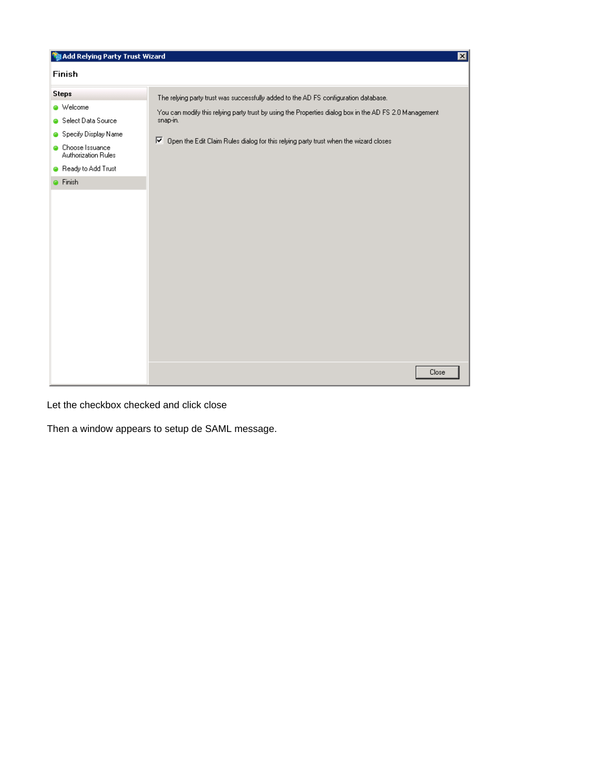| Add Relying Party Trust Wizard<br>$\mathbf{x}$                                                                                                                  |                                                                                                                                                                                                                                                                                                        |  |  |  |  |
|-----------------------------------------------------------------------------------------------------------------------------------------------------------------|--------------------------------------------------------------------------------------------------------------------------------------------------------------------------------------------------------------------------------------------------------------------------------------------------------|--|--|--|--|
| Finish                                                                                                                                                          |                                                                                                                                                                                                                                                                                                        |  |  |  |  |
| <b>Steps</b><br><b>O</b> Welcome<br>Select Data Source<br>Specify Display Name<br><b>Choose Issuance</b><br>Authorization Rules<br>Ready to Add Trust<br>Finish | The relying party trust was successfully added to the AD FS configuration database.<br>You can modify this relying party trust by using the Properties dialog box in the AD FS 2.0 Management<br>snap-in.<br>⊽<br>Open the Edit Claim Rules dialog for this relying party trust when the wizard closes |  |  |  |  |
|                                                                                                                                                                 |                                                                                                                                                                                                                                                                                                        |  |  |  |  |
|                                                                                                                                                                 | Close                                                                                                                                                                                                                                                                                                  |  |  |  |  |

Let the checkbox checked and click close

Then a window appears to setup de SAML message.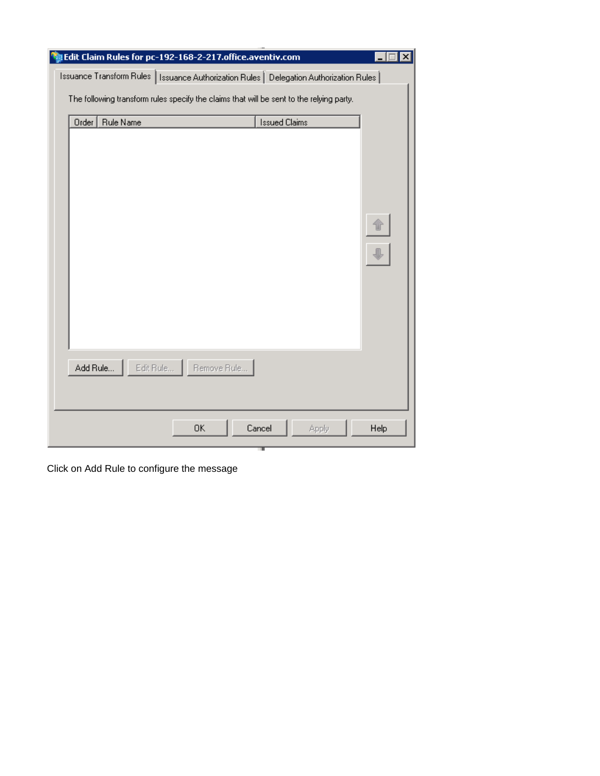| Edit Claim Rules for pc-192-168-2-217.office.aventiv.com                                 | ×             |  |  |
|------------------------------------------------------------------------------------------|---------------|--|--|
| Issuance Transform Rules   Issuance Authorization Rules   Delegation Authorization Rules |               |  |  |
| The following transform rules specify the claims that will be sent to the relying party. |               |  |  |
| <b>Issued Claims</b><br>Order<br>Rule Name                                               |               |  |  |
|                                                                                          |               |  |  |
|                                                                                          |               |  |  |
|                                                                                          |               |  |  |
|                                                                                          |               |  |  |
|                                                                                          |               |  |  |
|                                                                                          |               |  |  |
|                                                                                          |               |  |  |
|                                                                                          |               |  |  |
|                                                                                          |               |  |  |
|                                                                                          |               |  |  |
|                                                                                          |               |  |  |
|                                                                                          |               |  |  |
| Edit Rule   Remove Rule<br>Add Rule                                                      |               |  |  |
|                                                                                          |               |  |  |
|                                                                                          |               |  |  |
|                                                                                          |               |  |  |
| 0K<br>Cancel                                                                             | Help<br>Apply |  |  |

Click on Add Rule to configure the message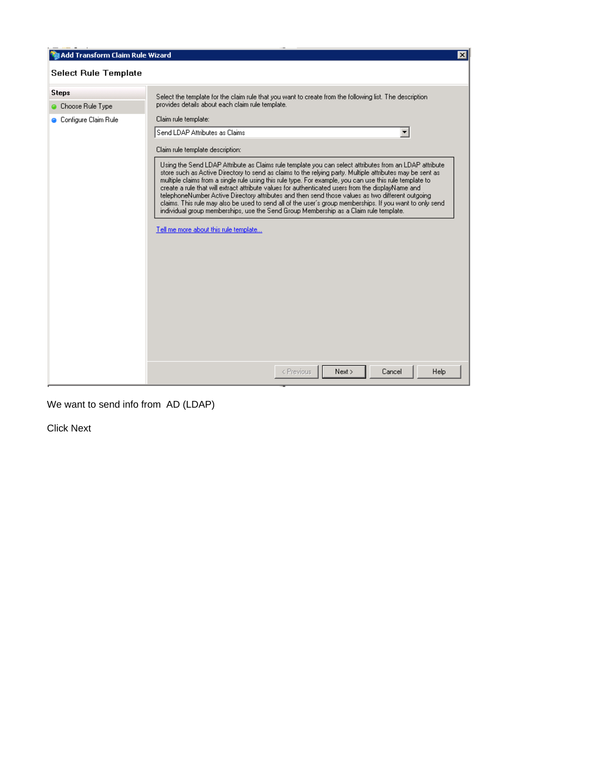| Add Transform Claim Rule Wizard                                                                                                                                             |                                                                                                                                                                                                                                                                                                                                                                                                                                                                                                                                                                                                                                                                                                                                                                                                                                                                                     | $\vert x \vert$ |  |  |  |
|-----------------------------------------------------------------------------------------------------------------------------------------------------------------------------|-------------------------------------------------------------------------------------------------------------------------------------------------------------------------------------------------------------------------------------------------------------------------------------------------------------------------------------------------------------------------------------------------------------------------------------------------------------------------------------------------------------------------------------------------------------------------------------------------------------------------------------------------------------------------------------------------------------------------------------------------------------------------------------------------------------------------------------------------------------------------------------|-----------------|--|--|--|
| <b>Select Rule Template</b>                                                                                                                                                 |                                                                                                                                                                                                                                                                                                                                                                                                                                                                                                                                                                                                                                                                                                                                                                                                                                                                                     |                 |  |  |  |
| <b>Steps</b><br>Select the template for the claim rule that you want to create from the following list. The description<br>provides details about each claim rule template. |                                                                                                                                                                                                                                                                                                                                                                                                                                                                                                                                                                                                                                                                                                                                                                                                                                                                                     |                 |  |  |  |
| Choose Rule Type<br>Configure Claim Rule                                                                                                                                    | Claim rule template:<br>Send LDAP Attributes as Claims<br>Claim rule template description:<br>Using the Send LDAP Attribute as Claims rule template you can select attributes from an LDAP attribute<br>store such as Active Directory to send as claims to the relying party. Multiple attributes may be sent as<br>multiple claims from a single rule using this rule type. For example, you can use this rule template to<br>create a rule that will extract attribute values for authenticated users from the displayName and<br>telephoneNumber Active Directory attributes and then send those values as two different outgoing<br>claims. This rule may also be used to send all of the user's group memberships. If you want to only send<br>individual group memberships, use the Send Group Membership as a Claim rule template.<br>Tell me more about this rule template |                 |  |  |  |
|                                                                                                                                                                             | Cancel<br>Help<br>< Previous<br>Next >                                                                                                                                                                                                                                                                                                                                                                                                                                                                                                                                                                                                                                                                                                                                                                                                                                              |                 |  |  |  |

We want to send info from AD (LDAP)

Click Next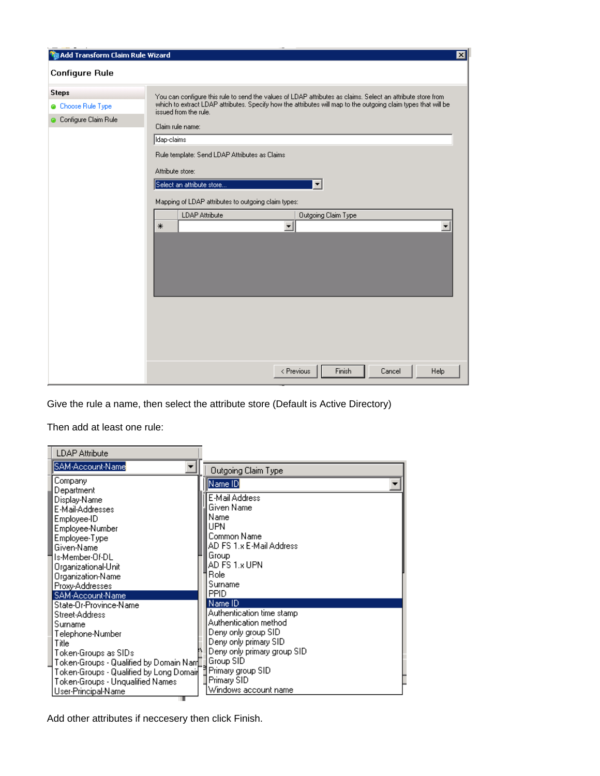| Add Transform Claim Rule Wizard                          |                                                                                                                                                                                                                                                                                                                                                                                                  | $\vert x \vert$ |
|----------------------------------------------------------|--------------------------------------------------------------------------------------------------------------------------------------------------------------------------------------------------------------------------------------------------------------------------------------------------------------------------------------------------------------------------------------------------|-----------------|
| <b>Configure Rule</b>                                    |                                                                                                                                                                                                                                                                                                                                                                                                  |                 |
| <b>Steps</b><br>Choose Rule Type<br>Configure Claim Rule | You can configure this rule to send the values of LDAP attributes as claims. Select an attribute store from<br>which to extract LDAP attributes. Specify how the attributes will map to the outgoing claim types that will be<br>issued from the rule.<br>Claim rule name:<br>Idap-claims<br>Rule template: Send LDAP Attributes as Claims<br>Attribute store:<br>Select an attribute store<br>▼ |                 |
|                                                          | Mapping of LDAP attributes to outgoing claim types:<br><b>LDAP Attribute</b><br>Outgoing Claim Type<br>ᅬ<br>$\overline{\phantom{a}}$<br>$\ast$                                                                                                                                                                                                                                                   |                 |
|                                                          | Finish<br>Cancel<br>Help<br>< Previous                                                                                                                                                                                                                                                                                                                                                           |                 |

Give the rule a name, then select the attribute store (Default is Active Directory)

Then add at least one rule:

| <b>LDAP Attribute</b>                     |  |                                                     |  |  |
|-------------------------------------------|--|-----------------------------------------------------|--|--|
| SAM-Account-Name                          |  | <b>Outgoing Claim Type</b>                          |  |  |
| Company<br>Department                     |  | Name ID                                             |  |  |
| Display-Name                              |  | E-Mail Address                                      |  |  |
| E-Mail-Addresses                          |  | Given Name                                          |  |  |
| Employee-ID                               |  | Name                                                |  |  |
| Employee-Number                           |  | UPN                                                 |  |  |
| Employee-Type                             |  | Common Name                                         |  |  |
| Given-Name                                |  | AD FS 1.x E-Mail Address                            |  |  |
| ls-Member-Of-DL                           |  | Group                                               |  |  |
| Organizational-Unit                       |  | AD FS 1.x UPN                                       |  |  |
| Organization-Name                         |  | Role                                                |  |  |
| Proxy-Addresses                           |  | Surname                                             |  |  |
| SAM-Account-Name                          |  | <b>PPID</b>                                         |  |  |
| State-Or-Province-Name                    |  | Name ID                                             |  |  |
| Street-Address                            |  | Authentication time stamp<br>Authentication method. |  |  |
| Surname                                   |  | Deny only group SID                                 |  |  |
| Telephone-Number<br>Title                 |  | Deny only primary SID                               |  |  |
| Token-Groups as SIDs                      |  | Deny only primary group SID                         |  |  |
| Token-Groups - Qualified by Domain Nan[1] |  | Group SID                                           |  |  |
| Token-Groups - Qualified by Long Domail   |  | Primary group SID                                   |  |  |
| Token-Groups - Unqualified Names          |  | Primary SID                                         |  |  |
| User-Principal-Name                       |  | Windows account name                                |  |  |
|                                           |  |                                                     |  |  |

Add other attributes if neccesery then click Finish.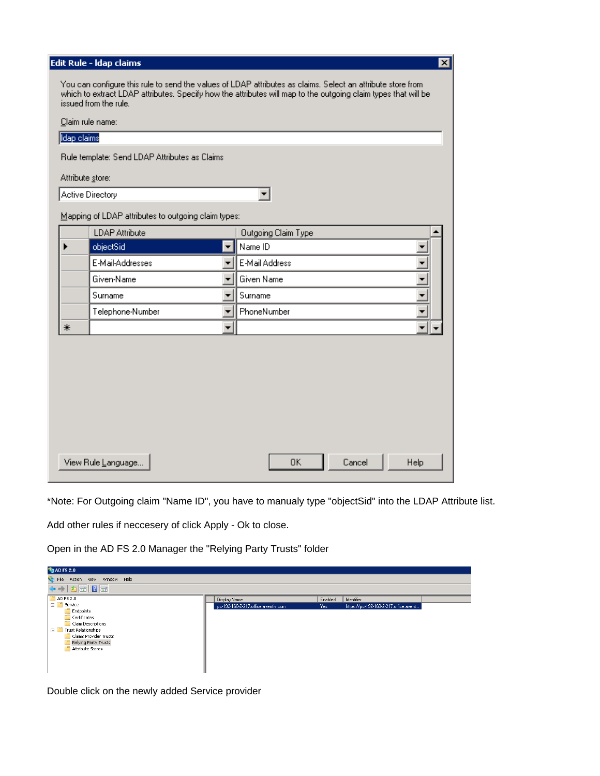| Edit Rule - Idap claims<br>$\overline{\mathbf{x}}$ |                                                                                                                                                                                                                                                        |                          |                                            |  |
|----------------------------------------------------|--------------------------------------------------------------------------------------------------------------------------------------------------------------------------------------------------------------------------------------------------------|--------------------------|--------------------------------------------|--|
|                                                    | You can configure this rule to send the values of LDAP attributes as claims. Select an attribute store from<br>which to extract LDAP attributes. Specify how the attributes will map to the outgoing claim types that will be<br>issued from the rule. |                          |                                            |  |
|                                                    | Claim rule name:                                                                                                                                                                                                                                       |                          |                                            |  |
|                                                    | Idap claims                                                                                                                                                                                                                                            |                          |                                            |  |
|                                                    | Rule template: Send LDAP Attributes as Claims                                                                                                                                                                                                          |                          |                                            |  |
|                                                    | Attribute store:                                                                                                                                                                                                                                       |                          |                                            |  |
|                                                    | Active Directory                                                                                                                                                                                                                                       |                          |                                            |  |
|                                                    | Mapping of LDAP attributes to outgoing claim types:                                                                                                                                                                                                    |                          |                                            |  |
|                                                    | <b>LDAP Attribute</b>                                                                                                                                                                                                                                  |                          |                                            |  |
|                                                    | objectSid                                                                                                                                                                                                                                              | $\blacktriangledown$     | <b>Outgoing Claim Type</b><br>Name ID      |  |
|                                                    | E-Mail-Addresses                                                                                                                                                                                                                                       | ▾╎                       | $\overline{\phantom{0}}$<br>E-Mail Address |  |
|                                                    | Given-Name                                                                                                                                                                                                                                             | ▾                        | ⊋<br>Given Name                            |  |
|                                                    | Surname                                                                                                                                                                                                                                                | ▼∣                       | Surname<br>▼                               |  |
|                                                    | Telephone-Number                                                                                                                                                                                                                                       | $\overline{\phantom{a}}$ | PhoneNumber<br>▼                           |  |
| ⋇                                                  |                                                                                                                                                                                                                                                        | $\blacktriangledown$     | $\overline{\phantom{a}}$                   |  |
|                                                    |                                                                                                                                                                                                                                                        |                          |                                            |  |
|                                                    |                                                                                                                                                                                                                                                        |                          |                                            |  |
|                                                    |                                                                                                                                                                                                                                                        |                          |                                            |  |
|                                                    |                                                                                                                                                                                                                                                        |                          |                                            |  |
|                                                    |                                                                                                                                                                                                                                                        |                          |                                            |  |
|                                                    |                                                                                                                                                                                                                                                        |                          |                                            |  |
|                                                    |                                                                                                                                                                                                                                                        |                          |                                            |  |
| <b>OK</b><br>View Rule Language<br>Cancel<br>Help  |                                                                                                                                                                                                                                                        |                          |                                            |  |

\*Note: For Outgoing claim "Name ID", you have to manualy type "objectSid" into the LDAP Attribute list.

Add other rules if neccesery of click Apply - Ok to close.

Open in the AD FS 2.0 Manager the "Relying Party Trusts" folder

| <b>MEAD FS 2.0</b>                                      |                                     |         |                                       |  |
|---------------------------------------------------------|-------------------------------------|---------|---------------------------------------|--|
| <b>City</b> File<br>Action View Window Help             |                                     |         |                                       |  |
| $\Leftrightarrow$ $\phi$ $\phi$ $\boxed{2}$ $\boxed{7}$ |                                     |         |                                       |  |
| AD FS 2.0                                               | Display Name                        | Enabled | Identifier                            |  |
| $\Box$ Service                                          | pc-192-168-2-217.office.aventiv.com | Yes:    | https://pc-192-168-2-217.office.avent |  |
| Endpoints                                               |                                     |         |                                       |  |
| Certificates                                            |                                     |         |                                       |  |
| Claim Descriptions                                      |                                     |         |                                       |  |
| 日口<br>Trust Relationships                               |                                     |         |                                       |  |
| <b>Claims Provider Trusts</b>                           |                                     |         |                                       |  |
| Relying Party Trusts                                    |                                     |         |                                       |  |
| Attribute Stores                                        |                                     |         |                                       |  |
|                                                         |                                     |         |                                       |  |
|                                                         |                                     |         |                                       |  |
|                                                         |                                     |         |                                       |  |
|                                                         |                                     |         |                                       |  |

Double click on the newly added Service provider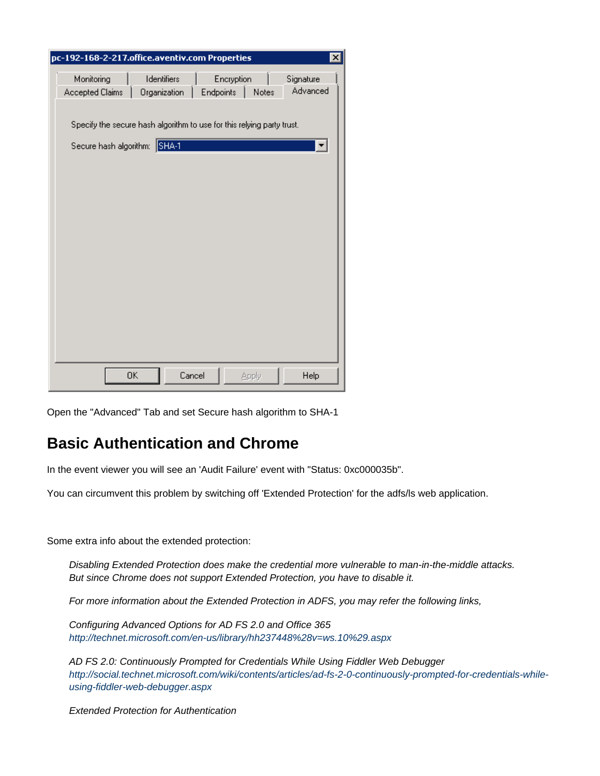| pc-192-168-2-217.office.aventiv.com Properties |                                                                        |                         |       | $\vert x \vert$       |
|------------------------------------------------|------------------------------------------------------------------------|-------------------------|-------|-----------------------|
| Monitoring<br>Accepted Claims                  | Identifiers<br>Organization                                            | Encryption<br>Endpoints | Notes | Signature<br>Advanced |
| Secure hash algorithm: SHA-1                   | Specify the secure hash algorithm to use for this relying party trust. |                         |       |                       |
|                                                |                                                                        |                         |       |                       |
|                                                |                                                                        |                         |       |                       |
|                                                |                                                                        |                         |       |                       |
|                                                |                                                                        |                         |       |                       |
|                                                | 0K                                                                     | Cancel                  | Apply | Help                  |

Open the "Advanced" Tab and set Secure hash algorithm to SHA-1

### **Basic Authentication and Chrome**

In the event viewer you will see an 'Audit Failure' event with "Status: 0xc000035b".

You can circumvent this problem by switching off 'Extended Protection' for the adfs/ls web application.

Some extra info about the extended protection:

Disabling Extended Protection does make the credential more vulnerable to man-in-the-middle attacks. But since Chrome does not support Extended Protection, you have to disable it.

For more information about the Extended Protection in ADFS, you may refer the following links,

Configuring Advanced Options for AD FS 2.0 and Office 365 <http://technet.microsoft.com/en-us/library/hh237448%28v=ws.10%29.aspx>

AD FS 2.0: Continuously Prompted for Credentials While Using Fiddler Web Debugger [http://social.technet.microsoft.com/wiki/contents/articles/ad-fs-2-0-continuously-prompted-for-credentials-while](http://social.technet.microsoft.com/wiki/contents/articles/ad-fs-2-0-continuously-prompted-for-credentials-while-using-fiddler-web-debugger.aspx)[using-fiddler-web-debugger.aspx](http://social.technet.microsoft.com/wiki/contents/articles/ad-fs-2-0-continuously-prompted-for-credentials-while-using-fiddler-web-debugger.aspx)

Extended Protection for Authentication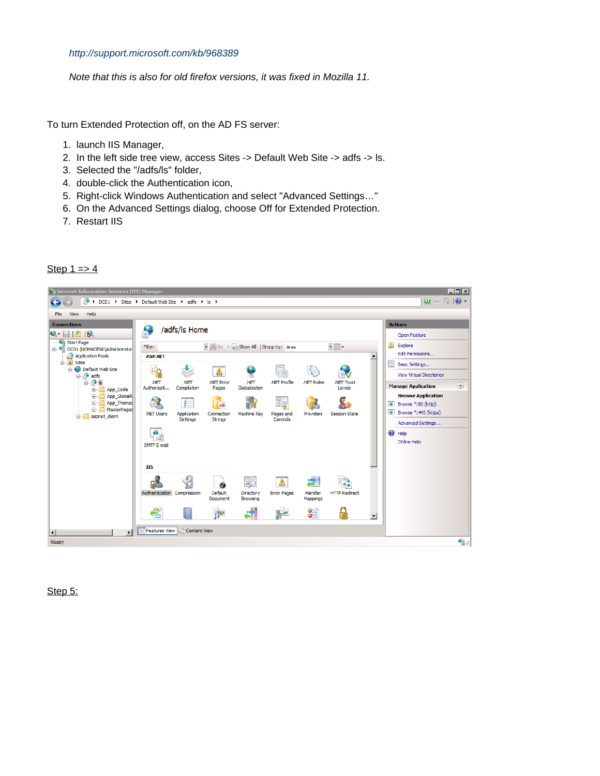#### <http://support.microsoft.com/kb/968389>

Note that this is also for old firefox versions, it was fixed in Mozilla 11.

To turn Extended Protection off, on the AD FS server:

- 1. launch IIS Manager,
- 2. In the left side tree view, access Sites -> Default Web Site -> adfs -> ls.
- 3. Selected the "/adfs/ls" folder,
- 4. double-click the Authentication icon,
- 5. Right-click Windows Authentication and select "Advanced Settings…"
- 6. On the Advanced Settings dialog, choose Off for Extended Protection.
- 7. Restart IIS

#### Step  $1 = > 4$



Step 5: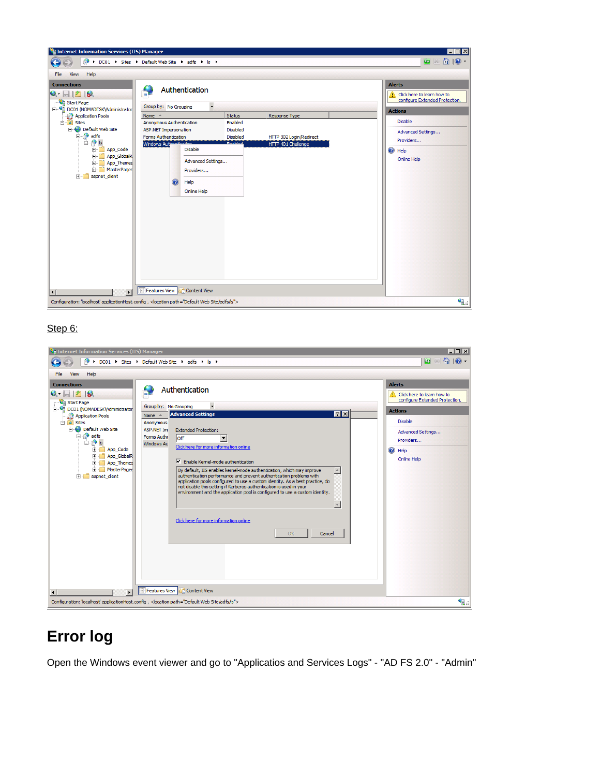

### Step 6:

| Le Internet Information Services (IIS) Manager                                                                                                                                                                                                                                                                                                                                                                                                                                                                                                                                                                                                                                                                                                                                                                                                                                                                                                                                                                                                                                                                                                                                                                   | $  z  \times  $                                                                                                                                                                                     |
|------------------------------------------------------------------------------------------------------------------------------------------------------------------------------------------------------------------------------------------------------------------------------------------------------------------------------------------------------------------------------------------------------------------------------------------------------------------------------------------------------------------------------------------------------------------------------------------------------------------------------------------------------------------------------------------------------------------------------------------------------------------------------------------------------------------------------------------------------------------------------------------------------------------------------------------------------------------------------------------------------------------------------------------------------------------------------------------------------------------------------------------------------------------------------------------------------------------|-----------------------------------------------------------------------------------------------------------------------------------------------------------------------------------------------------|
| > DC01 > Sites > Default Web Site > adfs > Is >                                                                                                                                                                                                                                                                                                                                                                                                                                                                                                                                                                                                                                                                                                                                                                                                                                                                                                                                                                                                                                                                                                                                                                  | $\omega \times \cap$                                                                                                                                                                                |
| Help<br>File<br><b>View</b>                                                                                                                                                                                                                                                                                                                                                                                                                                                                                                                                                                                                                                                                                                                                                                                                                                                                                                                                                                                                                                                                                                                                                                                      |                                                                                                                                                                                                     |
| <b>Connections</b><br>Authentication<br>$Q -    12    8$<br>Start Page<br>Group by: No Grouping<br>i DC01 (NOMADESK\Administrator<br><b>78</b><br><b>Advanced Settings</b><br>Application Pools<br>Name $\triangle$<br><b>E</b> o Sites<br>Anonymous<br><b>E</b> Default Web Site<br><b>ASP.NET Imp</b><br><b>Extended Protection:</b><br><b>E</b> adfs<br>Forms Authe<br>loff<br>∃ a ls<br>Windows Au<br>Click here for more information online<br>由一<br>App Code<br>App GlobalR<br>由-<br>$\nabla$ Enable Kernel-mode authentication<br>App Themes<br>$\Box$<br><b>H</b> -MasterPages<br>By default, IIS enables kernel-mode authentication, which may improve<br>$\blacktriangle$<br>authentication performance and prevent authentication problems with<br>aspnet client<br>$\blacksquare$<br>application pools configured to use a custom identity. As a best practice, do<br>not disable this setting if Kerberos authentication is used in your<br>environment and the application pool is configured to use a custom identity.<br>$\overline{\phantom{m}}$<br>Click here for more information online<br>OK<br>Cancel<br>Features View <b>Content View</b><br>$\vert \cdot \vert$<br>$\blacktriangleright$ | <b>Alerts</b><br>$\triangle$ Click here to learn how to<br>configure Extended Protection.<br><b>Actions</b><br><b>Disable</b><br>Advanced Settings<br>Providers<br><sup>O</sup> Help<br>Online Help |
| Configuration: 'localhost' applicationHost.config , <location path="Default Web Site/adfs/ls"></location>                                                                                                                                                                                                                                                                                                                                                                                                                                                                                                                                                                                                                                                                                                                                                                                                                                                                                                                                                                                                                                                                                                        | ا∷ا                                                                                                                                                                                                 |

## **Error log**

Open the Windows event viewer and go to "Applicatios and Services Logs" - "AD FS 2.0" - "Admin"